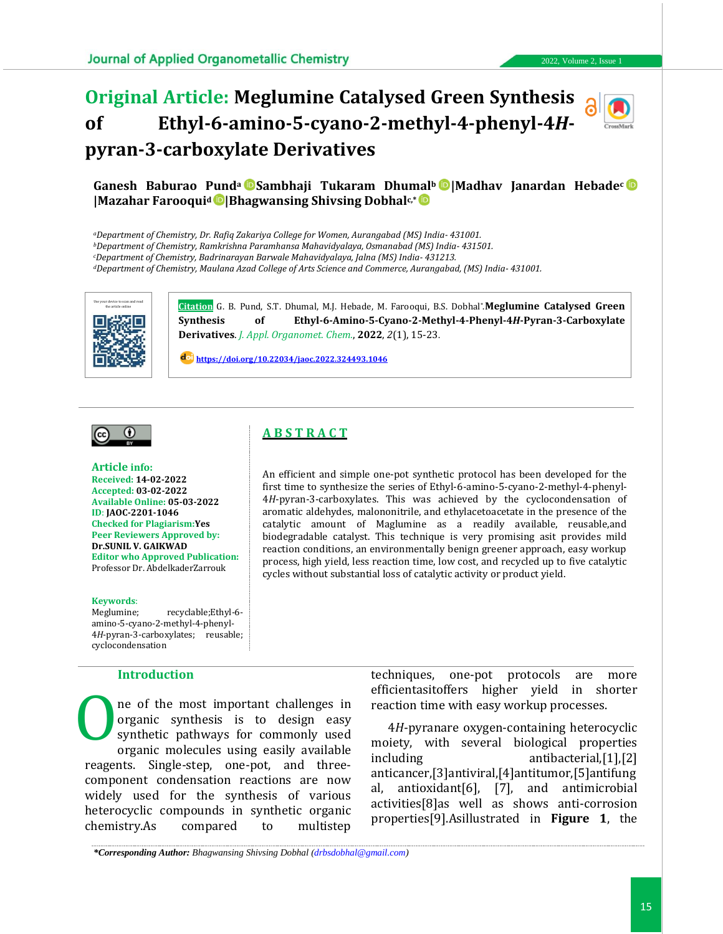# **Original Article: Meglumine Catalysed Green Synthesis of Ethyl-6-amino-5-cyano-2-methyl-4-phenyl-4***H***pyran-3-carboxylate Derivatives**



## **Ganesh Baburao Pund<sup>a</sup> Sambhaji Tukaram Dhumal<sup>b</sup> |Madhav Janardan Hebade<sup>c</sup> |Mazahar Farooqui<sup>d</sup> |Bhagwansing Shivsing Dobhalc,\***

*<sup>a</sup>Department of Chemistry, Dr. Rafiq Zakariya College for Women, Aurangabad (MS) India- 431001.*

*<sup>b</sup>Department of Chemistry, Ramkrishna Paramhansa Mahavidyalaya, Osmanabad (MS) India- 431501.*

*<sup>c</sup>Department of Chemistry, Badrinarayan Barwale Mahavidyalaya, Jalna (MS) India- 431213.*

*<sup>d</sup>Department of Chemistry, Maulana Azad College of Arts Science and Commerce, Aurangabad, (MS) India- 431001.*



the article online **Citation** G. B. Pund, S.T. Dhumal, M.J. Hebade, M. Farooqui, B.S. Dobhal\* .**Meglumine Catalysed Green Synthesis of Ethyl-6-Amino-5-Cyano-2-Methyl-4-Phenyl-4***H***-Pyran-3-Carboxylate Derivatives**. *J. Appl. Organomet. Chem.*, **2022**, *2*(1), 15-23.

> An efficient and simple one-pot synthetic protocol has been developed for the first time to synthesize the series of Ethyl-6-amino-5-cyano-2-methyl-4-phenyl-4*H*-pyran-3-carboxylates. This was achieved by the cyclocondensation of aromatic aldehydes, malononitrile, and ethylacetoacetate in the presence of the catalytic amount of Maglumine as a readily available, reusable,and biodegradable catalyst. This technique is very promising asit provides mild reaction conditions, an environmentally benign greener approach, easy workup process, high yield, less reaction time, low cost, and recycled up to five catalytic

cycles without substantial loss of catalytic activity or product yield.

**[https://doi.org/10.22034/jaoc.2022.324493.1046](https://dx.doi.org/10.22034/jaoc.2022.324493.1046)**

**A B S T R A C T**



**Article info: Received: 14-02-2022 Accepted: 03-02-2022 Available Online: 05-03-2022 ID**: **JAOC-2201-1046 Checked for Plagiarism:Yes Peer Reviewers Approved by: Dr.SUNIL V. GAIKWAD Editor who Approved Publication:**  Professor Dr. AbdelkaderZarrouk

#### **Keywords**:

Meglumine; recyclable;Ethyl-6amino-5-cyano-2-methyl-4-phenyl-4*H*-pyran-3-carboxylates; reusable; cyclocondensation

#### **Introduction**

ne of the most important challenges in organic synthesis is to design easy synthetic pathways for commonly used organic molecules using easily available reagents. Single-step, one-pot, and threecomponent condensation reactions are now widely used for the synthesis of various heterocyclic compounds in synthetic organic chemistry.As compared to multistep O

techniques, one-pot protocols are more efficientasitoffers higher yield in shorter reaction time with easy workup processes.

4*H*-pyranare oxygen-containing heterocyclic moiety, with several biological properties including antibacterial,[1],[2] anticancer,[3]antiviral,[4]antitumor,[5]antifung al, antioxidant[6], [7], and antimicrobial activities[8]as well as shows anti-corrosion properties[9].Asillustrated in **Figure 1**, the

*\*Corresponding Author: Bhagwansing Shivsing Dobhal [\(drbsdobhal@gmail.com\)](drbsdobhal@gmail.com)*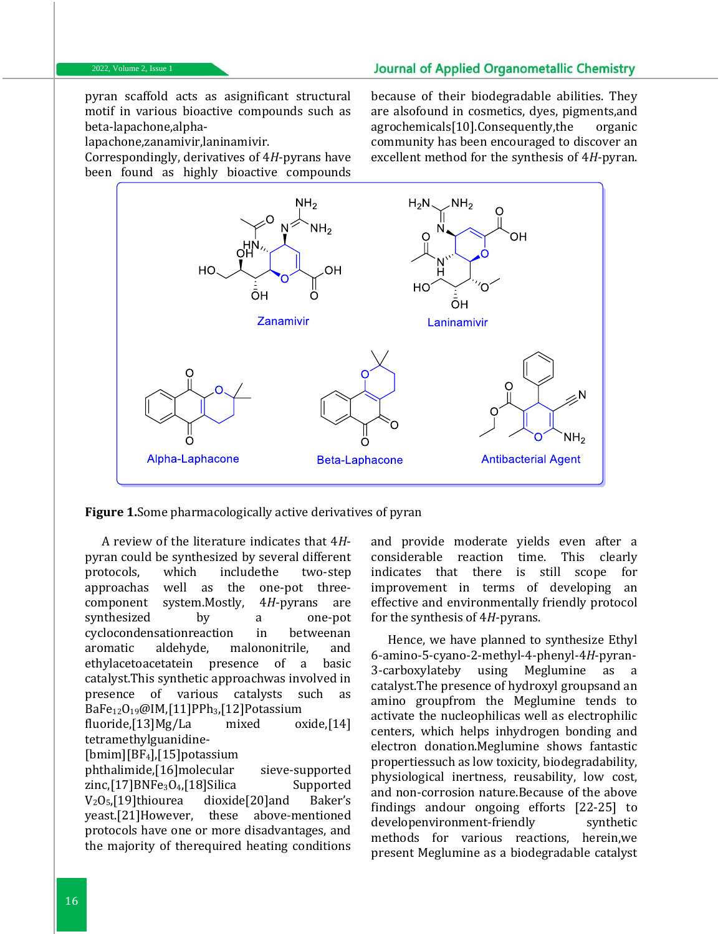pyran scaffold acts as asignificant structural motif in various bioactive compounds such as beta-lapachone,alpha-

lapachone,zanamivir,laninamivir.

Correspondingly, derivatives of 4*H*-pyrans have been found as highly bioactive compounds

because of their biodegradable abilities. They are alsofound in cosmetics, dyes, pigments,and agrochemicals[10].Consequently,the organic community has been encouraged to discover an excellent method for the synthesis of 4*H*-pyran.



**Figure 1.**Some pharmacologically active derivatives of pyran

A review of the literature indicates that 4*H*pyran could be synthesized by several different protocols, which includethe two-step approachas well as the one-pot threecomponent system.Mostly, 4*H*-pyrans are synthesized by a one-pot cyclocondensationreaction in betweenan aromatic aldehyde, malononitrile, and ethylacetoacetatein presence of a basic catalyst.This synthetic approachwas involved in presence of various catalysts such as BaFe12O19@IM,[11]PPh3,[12]Potassium fluoride,[13]Mg/La mixed oxide,[14] tetramethylguanidine- [bmim][BF4],[15]potassium phthalimide,[16]molecular sieve-supported zinc,[17]BNFe<sub>3</sub>O<sub>4</sub>,[18]Silica Supported V2O5,[19]thiourea dioxide[20]and Baker's yeast.[21]However, these above-mentioned protocols have one or more disadvantages, and the majority of therequired heating conditions

and provide moderate yields even after a considerable reaction time. This clearly indicates that there is still scope for improvement in terms of developing an effective and environmentally friendly protocol for the synthesis of 4*H*-pyrans.

Hence, we have planned to synthesize Ethyl 6-amino-5-cyano-2-methyl-4-phenyl-4*H*-pyran-3-carboxylateby using Meglumine as a catalyst.The presence of hydroxyl groupsand an amino groupfrom the Meglumine tends to activate the nucleophilicas well as electrophilic centers, which helps inhydrogen bonding and electron donation.Meglumine shows fantastic propertiessuch as low toxicity, biodegradability, physiological inertness, reusability, low cost, and non-corrosion nature.Because of the above findings andour ongoing efforts [22-25] to developenvironment-friendly synthetic methods for various reactions, herein,we present Meglumine as a biodegradable catalyst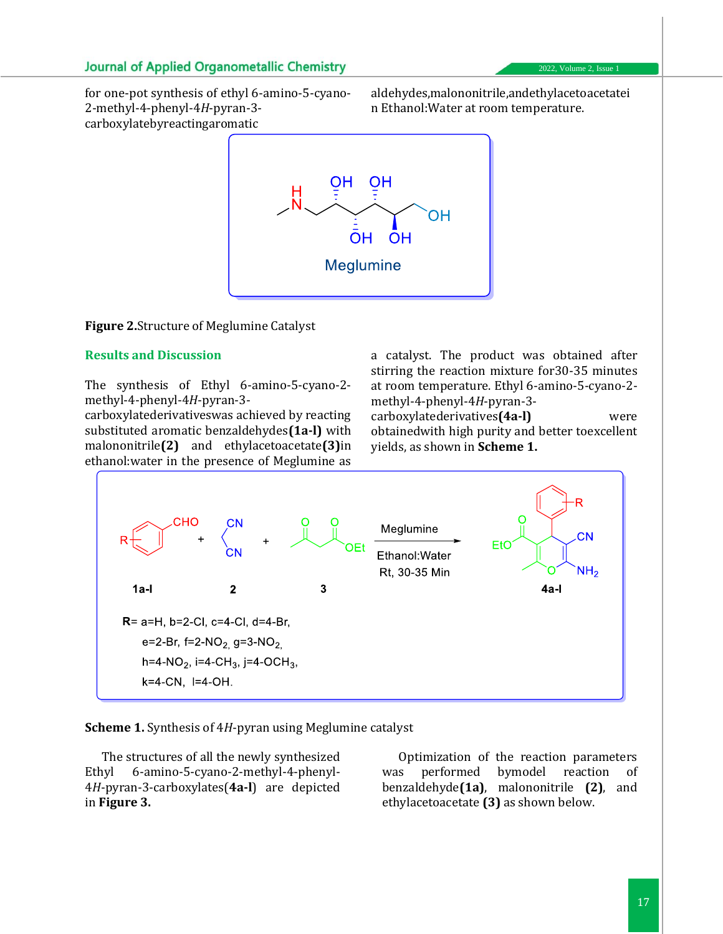for one-pot synthesis of ethyl 6-amino-5-cyano-2-methyl-4-phenyl-4*H*-pyran-3 carboxylatebyreactingaromatic

aldehydes,malononitrile,andethylacetoacetatei n Ethanol:Water at room temperature.



#### **Figure 2.**Structure of Meglumine Catalyst

#### **Results and Discussion**

The synthesis of Ethyl 6-amino-5-cyano-2 methyl-4-phenyl-4*H*-pyran-3-

carboxylatederivativeswas achieved by reacting substituted aromatic benzaldehydes**(1a-l)** with malononitrile**(2)** and ethylacetoacetate**(3)**in ethanol:water in the presence of Meglumine as

a catalyst. The product was obtained after stirring the reaction mixture for30-35 minutes at room temperature. Ethyl 6-amino-5-cyano-2 methyl-4-phenyl-4*H*-pyran-3-

carboxylatederivatives**(4a-l)** were obtainedwith high purity and better toexcellent yields, as shown in **Scheme 1.**



**Scheme 1.** Synthesis of 4*H*-pyran using Meglumine catalyst

The structures of all the newly synthesized Ethyl 6-amino-5-cyano-2-methyl-4-phenyl-4*H*-pyran-3-carboxylates(**4a-l**) are depicted in **Figure 3.**

Optimization of the reaction parameters was performed bymodel reaction of benzaldehyde**(1a)**, malononitrile **(2)**, and ethylacetoacetate **(3)** as shown below.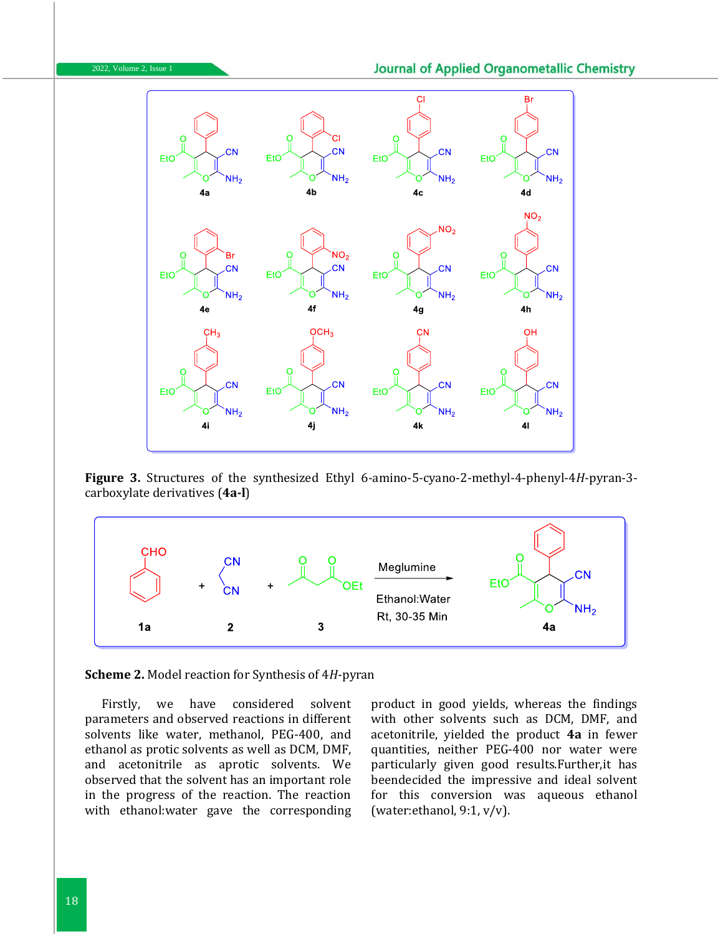



**Figure 3.** Structures of the synthesized Ethyl 6-amino-5-cyano-2-methyl-4-phenyl-4*H*-pyran-3 carboxylate derivatives (**4a-l**)



**Scheme 2.** Model reaction for Synthesis of 4*H*-pyran

Firstly, we have considered solvent parameters and observed reactions in different solvents like water, methanol, PEG-400, and ethanol as protic solvents as well as DCM, DMF, and acetonitrile as aprotic solvents. We observed that the solvent has an important role in the progress of the reaction. The reaction with ethanol:water gave the corresponding product in good yields, whereas the findings with other solvents such as DCM, DMF, and acetonitrile, yielded the product **4a** in fewer quantities, neither PEG-400 nor water were particularly given good results.Further,it has beendecided the impressive and ideal solvent for this conversion was aqueous ethanol (water:ethanol, 9:1, v/v).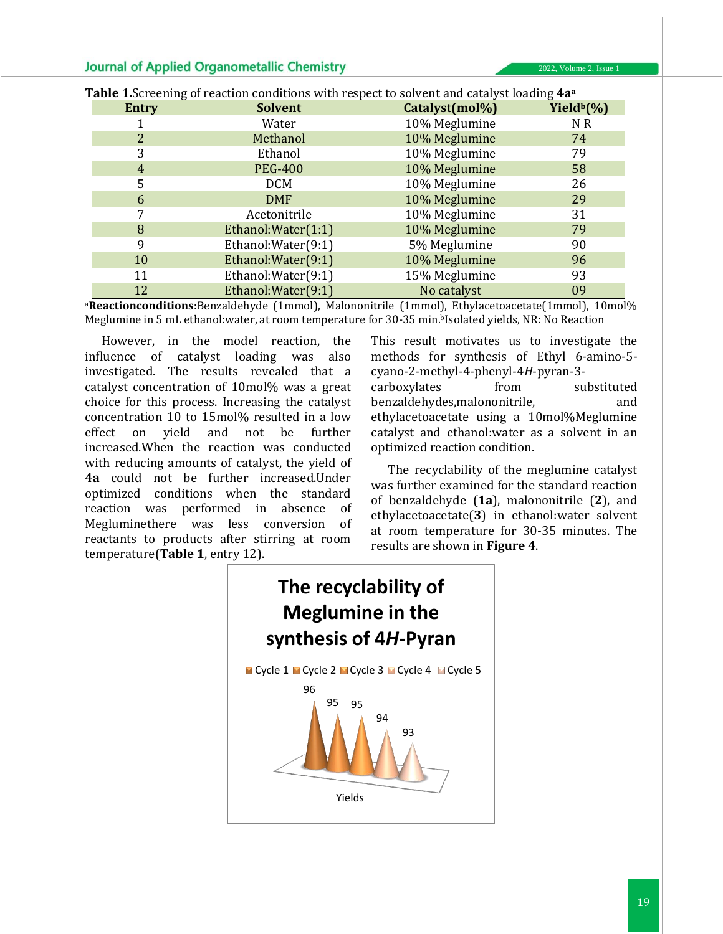| <b>Entry</b> | <b>Solvent</b>      | Catalyst(mol%) | Yield <sup>b</sup> (%) |
|--------------|---------------------|----------------|------------------------|
|              | Water               | 10% Meglumine  | N R                    |
|              | Methanol            | 10% Meglumine  | 74                     |
| 3            | Ethanol             | 10% Meglumine  | 79                     |
| 4            | <b>PEG-400</b>      | 10% Meglumine  | 58                     |
| 5            | <b>DCM</b>          | 10% Meglumine  | 26                     |
| 6            | <b>DMF</b>          | 10% Meglumine  | 29                     |
|              | Acetonitrile        | 10% Meglumine  | 31                     |
| 8            | Ethanol: Water(1:1) | 10% Meglumine  | 79                     |
| 9            | Ethanol: Water(9:1) | 5% Meglumine   | 90                     |
| 10           | Ethanol: Water(9:1) | 10% Meglumine  | 96                     |
| 11           | Ethanol: Water(9:1) | 15% Meglumine  | 93                     |
| 12           | Ethanol: Water(9:1) | No catalyst    | 09                     |

**Table 1.**Screening of reaction conditions with respect to solvent and catalyst loading **4a<sup>a</sup>**

<sup>a</sup>**Reactionconditions:**Benzaldehyde (1mmol), Malononitrile (1mmol), Ethylacetoacetate(1mmol), 10mol% Meglumine in 5 mL ethanol: water, at room temperature for 30-35 min. bIsolated yields, NR: No Reaction

However, in the model reaction, the influence of catalyst loading was also investigated. The results revealed that a catalyst concentration of 10mol% was a great choice for this process. Increasing the catalyst concentration 10 to 15mol% resulted in a low effect on yield and not be further increased.When the reaction was conducted with reducing amounts of catalyst, the yield of **4a** could not be further increased.Under optimized conditions when the standard reaction was performed in absence of Megluminethere was less conversion of reactants to products after stirring at room temperature(**Table 1**, entry 12).

This result motivates us to investigate the methods for synthesis of Ethyl 6-amino-5 cyano-2-methyl-4-phenyl-4*H*-pyran-3 carboxylates from substituted benzaldehydes,malononitrile, and ethylacetoacetate using a 10mol%Meglumine catalyst and ethanol:water as a solvent in an optimized reaction condition.

The recyclability of the meglumine catalyst was further examined for the standard reaction of benzaldehyde (**1a**), malononitrile (**2**), and ethylacetoacetate(**3**) in ethanol:water solvent at room temperature for 30-35 minutes. The results are shown in **Figure 4**.

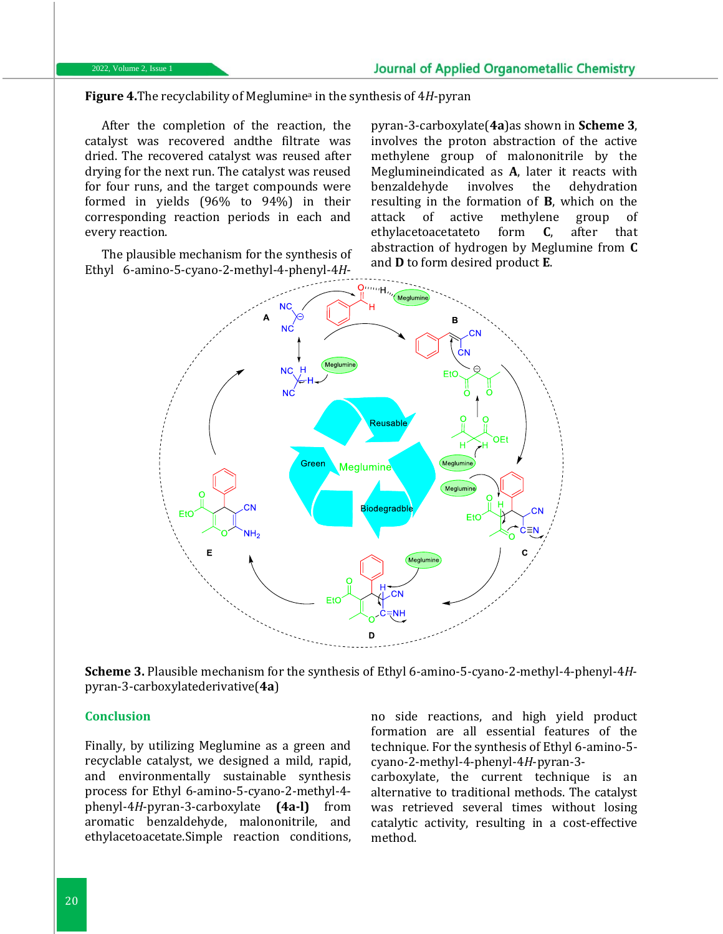**Figure 4.**The recyclability of Meglumine<sup>a</sup> in the synthesis of 4*H*-pyran

After the completion of the reaction, the catalyst was recovered andthe filtrate was dried. The recovered catalyst was reused after drying for the next run. The catalyst was reused for four runs, and the target compounds were formed in yields (96% to 94%) in their corresponding reaction periods in each and every reaction.

The plausible mechanism for the synthesis of Ethyl 6-amino-5-cyano-2-methyl-4-phenyl-4*H*-

pyran-3-carboxylate(**4a**)as shown in **Scheme 3**, involves the proton abstraction of the active methylene group of malononitrile by the Meglumineindicated as **A**, later it reacts with benzaldehyde involves the dehydration resulting in the formation of **B**, which on the attack of active methylene group of ethylacetoacetateto form **C**, after that abstraction of hydrogen by Meglumine from **C** and **D** to form desired product **E**.



**Scheme 3.** Plausible mechanism for the synthesis of Ethyl 6-amino-5-cyano-2-methyl-4-phenyl-4*H*pyran-3-carboxylatederivative(**4a**)

## **Conclusion**

Finally, by utilizing Meglumine as a green and recyclable catalyst, we designed a mild, rapid, and environmentally sustainable synthesis process for Ethyl 6-amino-5-cyano-2-methyl-4 phenyl-4*H*-pyran-3-carboxylate **(4a-l)** from aromatic benzaldehyde, malononitrile, and ethylacetoacetate.Simple reaction conditions, no side reactions, and high yield product formation are all essential features of the technique. For the synthesis of Ethyl 6-amino-5 cyano-2-methyl-4-phenyl-4*H*-pyran-3-

carboxylate, the current technique is an alternative to traditional methods. The catalyst was retrieved several times without losing catalytic activity, resulting in a cost-effective method.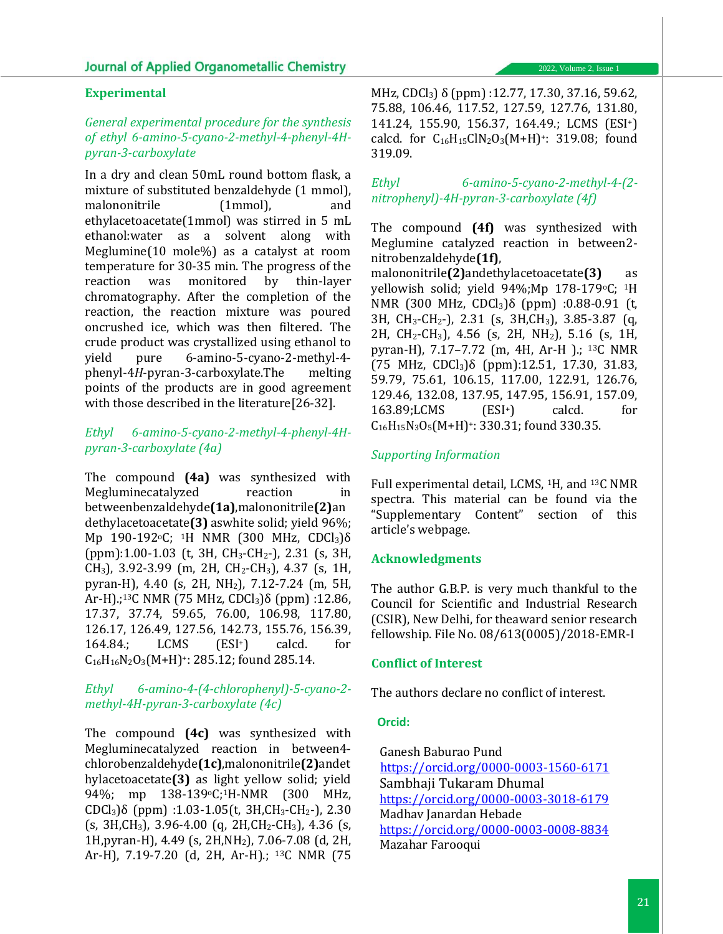#### **Experimental**

## *General experimental procedure for the synthesis of ethyl 6-amino-5-cyano-2-methyl-4-phenyl-4Hpyran-3-carboxylate*

In a dry and clean 50mL round bottom flask, a mixture of substituted benzaldehyde (1 mmol), malononitrile (1mmol), and ethylacetoacetate(1mmol) was stirred in 5 mL ethanol:water as a solvent along with Meglumine(10 mole%) as a catalyst at room temperature for 30-35 min. The progress of the reaction was monitored by thin-layer chromatography. After the completion of the reaction, the reaction mixture was poured oncrushed ice, which was then filtered. The crude product was crystallized using ethanol to yield pure 6-amino-5-cyano-2-methyl-4 phenyl-4*H*-pyran-3-carboxylate.The melting points of the products are in good agreement with those described in the literature[26-32].

## *Ethyl 6-amino-5-cyano-2-methyl-4-phenyl-4Hpyran-3-carboxylate (4a)*

The compound **(4a)** was synthesized with Megluminecatalyzed reaction in betweenbenzaldehyde**(1a)**,malononitrile**(2)**an dethylacetoacetate**(3)** aswhite solid; yield 96%; Mp 190-192<sup>o</sup>C; <sup>1</sup>H NMR (300 MHz, CDCl<sub>3</sub>)δ (ppm):1.00-1.03 (t, 3H, CH3-CH2-), 2.31 (s, 3H, CH3), 3.92-3.99 (m, 2H, CH2-CH3), 4.37 (s, 1H, pyran-H), 4.40 (s, 2H, NH2), 7.12-7.24 (m, 5H, Ar-H).;<sup>13</sup>C NMR (75 MHz, CDCl<sub>3</sub>)δ (ppm) :12.86, 17.37, 37.74, 59.65, 76.00, 106.98, 117.80, 126.17, 126.49, 127.56, 142.73, 155.76, 156.39, 164.84.; LCMS (ESI+) calcd. for  $C_{16}H_{16}N_2O_3(M+H)^{2}$ : 285.12; found 285.14.

### *Ethyl 6-amino-4-(4-chlorophenyl)-5-cyano-2 methyl-4H-pyran-3-carboxylate (4c)*

The compound **(4c)** was synthesized with Megluminecatalyzed reaction in between4 chlorobenzaldehyde**(1c)**,malononitrile**(2)**andet hylacetoacetate**(3)** as light yellow solid; yield 94%; mp 138-139oC;1H-NMR (300 MHz, CDCl3)δ (ppm) :1.03-1.05(t, 3H,CH3-CH2-), 2.30  $(s, 3H, CH_3), 3.96-4.00$  (q,  $2H, CH_2-CH_3$ ), 4.36 (s, 1H,pyran-H), 4.49 (s, 2H,NH2), 7.06-7.08 (d, 2H, Ar-H), 7.19-7.20 (d, 2H, Ar-H).; 13C NMR (75

MHz, CDCl<sub>3</sub>) δ (ppm) :12.77, 17.30, 37.16, 59.62, 75.88, 106.46, 117.52, 127.59, 127.76, 131.80, 141.24, 155.90, 156.37, 164.49.; LCMS (ESI+) calcd. for  $C_{16}H_{15}C1N_2O_3(M+H)$ <sup>+</sup>: 319.08; found 319.09.

*Ethyl 6-amino-5-cyano-2-methyl-4-(2 nitrophenyl)-4H-pyran-3-carboxylate (4f)*

The compound **(4f)** was synthesized with Meglumine catalyzed reaction in between2 nitrobenzaldehyde**(1f)**,

malononitrile**(2)**andethylacetoacetate**(3)** as yellowish solid; yield 94%;Mp 178-179oC; 1H NMR (300 MHz, CDCl3)δ (ppm) :0.88-0.91 (t, 3H, CH3-CH2-), 2.31 (s, 3H,CH3), 3.85-3.87 (q, 2H, CH2-CH3), 4.56 (s, 2H, NH2), 5.16 (s, 1H, pyran-H), 7.17–7.72 (m, 4H, Ar-H ).; 13C NMR (75 MHz, CDCl<sub>3</sub>) $\delta$  (ppm):12.51, 17.30, 31.83, 59.79, 75.61, 106.15, 117.00, 122.91, 126.76, 129.46, 132.08, 137.95, 147.95, 156.91, 157.09, 163.89;LCMS (ESI+) calcd. for  $C_{16}H_{15}N_3O_5(M+H)$ <sup>+</sup>: 330.31; found 330.35.

## *Supporting Information*

Full experimental detail, LCMS, 1H, and 13C NMR spectra. This material can be found via the "Supplementary Content" section of this article's webpage.

#### **Acknowledgments**

The author G.B.P. is very much thankful to the Council for Scientific and Industrial Research (CSIR), New Delhi, for theaward senior research fellowship. File No. 08/613(0005)/2018-EMR-I

#### **Conflict of Interest**

The authors declare no conflict of interest.

#### **Orcid:**

 Ganesh Baburao Pund <https://orcid.org/0000-0003-1560-6171> Sambhaji Tukaram Dhumal <https://orcid.org/0000-0003-3018-6179> Madhav Janardan Hebade <https://orcid.org/0000-0003-0008-8834> Mazahar Farooqui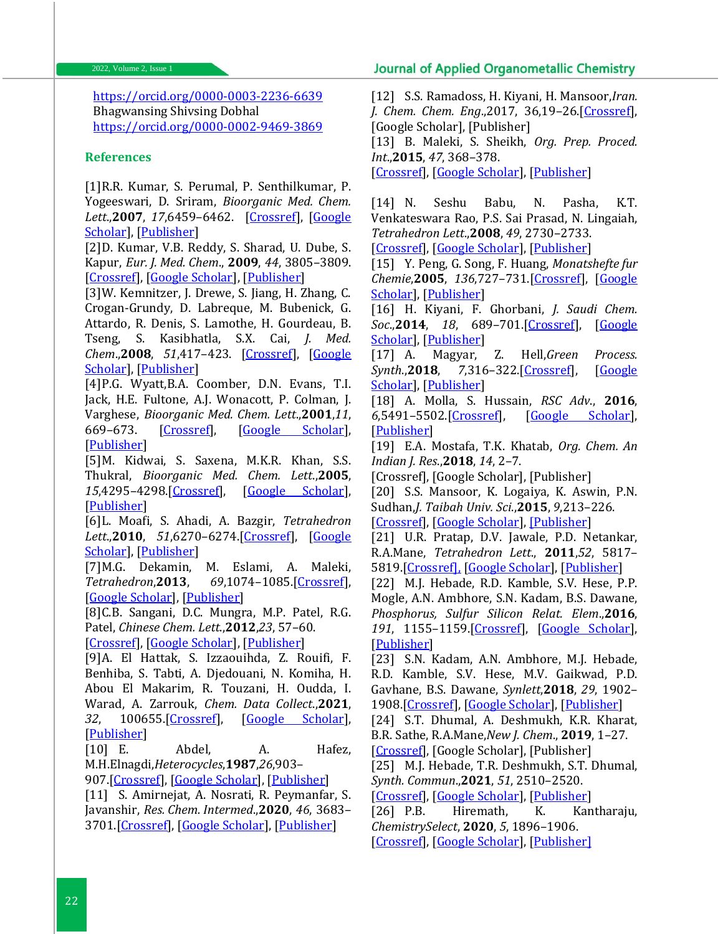<https://orcid.org/0000-0003-2236-6639> Bhagwansing Shivsing Dobhal <https://orcid.org/0000-0002-9469-3869>

#### **References**

[1]R.R. Kumar, S. Perumal, P. Senthilkumar, P. Yogeeswari, D. Sriram, *Bioorganic Med. Chem. Lett*.,**2007**, *17*,6459–6462. [\[Crossref\]](https://doi.org/10.1016/j.bmcl.2007.09.095), [\[Google](https://scholar.google.com/scholar?hl=en&as_sdt=0%2C5&q=An+atom+efficient%2C+solvent-free%2C+green+synthesis+and+antimycobacterial+evaluation+of+2-amino-6-methyl-4-aryl-8-%5B%28E%29-arylmethylidene%5D-5%2C6%2C7%2C8-tetrahydro-4H-pyrano%5B3%2C2-c%5Dpyridine)  [Scholar\]](https://scholar.google.com/scholar?hl=en&as_sdt=0%2C5&q=An+atom+efficient%2C+solvent-free%2C+green+synthesis+and+antimycobacterial+evaluation+of+2-amino-6-methyl-4-aryl-8-%5B%28E%29-arylmethylidene%5D-5%2C6%2C7%2C8-tetrahydro-4H-pyrano%5B3%2C2-c%5Dpyridine), [\[Publisher\]](https://www.sciencedirect.com/science/article/abs/pii/S0960894X07011493?via%3Dihub)

[2]D. Kumar, V.B. Reddy, S. Sharad, U. Dube, S. Kapur, *Eur. J. Med. Chem*., **2009**, *44*, 3805–3809. [\[Crossref\]](https://doi.org/10.1016/j.ejmech.2009.04.017), [\[Google Scholar\]](https://scholar.google.com/scholar?hl=en&as_sdt=0%2C5&q=A+facile+one-pot+green+synthesis+and+antibacterial+activity+of+2-amino-4H-pyrans+and+2-amino-5-oxo-5%2C6%2C7%2C8-tetrahydro-4H-chromenes&btnG=), [\[Publisher\]](https://www.sciencedirect.com/science/article/abs/pii/S0223523409002050?via%3Dihub)

[3]W. Kemnitzer, J. Drewe, S. Jiang, H. Zhang, C. Crogan-Grundy, D. Labreque, M. Bubenick, G. Attardo, R. Denis, S. Lamothe, H. Gourdeau, B. Tseng, S. Kasibhatla, S.X. Cai, *J. Med. Chem*.,**2008**, *51*,417–423. [\[Crossref\]](https://doi.org/10.1021/jm7010657), [\[Google](https://scholar.google.com/scholar?hl=en&as_sdt=0%2C5&q=Discovery+of+4-Aryl-4H-chromenes+as+a+New+Series+of+Apoptosis+Inducers+Using+a+Cell-+and+Caspase-Based+High+Throughput+Screening+Assay.+4.+Structure%E2%80%93Activity+Relationships+of+N-Alkyl+Substitut)  [Scholar\]](https://scholar.google.com/scholar?hl=en&as_sdt=0%2C5&q=Discovery+of+4-Aryl-4H-chromenes+as+a+New+Series+of+Apoptosis+Inducers+Using+a+Cell-+and+Caspase-Based+High+Throughput+Screening+Assay.+4.+Structure%E2%80%93Activity+Relationships+of+N-Alkyl+Substitut), [\[Publisher\]](https://pubs.acs.org/doi/10.1021/jm7010657)

[4]P.G. Wyatt,B.A. Coomber, D.N. Evans, T.I. Jack, H.E. Fultone, A.J. Wonacott, P. Colman, J. Varghese, *Bioorganic Med. Chem. Lett*.,**2001**,*11*, 669–673. [\[Crossref\]](https://doi.org/10.1016/S0960-%20894X(01)00019-1), [\[Google Scholar\]](https://scholar.google.com/scholar?hl=en&as_sdt=0%2C5&q=Sialidase+inhibitors+related+to+zanamivir.+Further+SAR+studies+of+4-amino-4H-pyran-2-carboxylic+acid-6-propylamides&btnG=), [\[Publisher\]](https://www.sciencedirect.com/science/article/abs/pii/S0960894X01000191)

[5]M. Kidwai, S. Saxena, M.K.R. Khan, S.S. Thukral, *Bioorganic Med. Chem. Lett*.,**2005**, *15*,4295–4298.[\[Crossref\]](https://doi.org/10.1016/j.bmcl.%202005.06.041), [\[Google Scholar\]](https://scholar.google.co.in/scholar?q=Aqua+mediated+synthesis+of+substituted+2-amino-4H-chromenes+and+in+vitro+study+as+antibacterial+agents&hl=en), [\[Publisher\]](https://www.sciencedirect.com/science/article/abs/pii/S0960894X05008139?via%3Dihub)

[6]L. Moafi, S. Ahadi, A. Bazgir, *Tetrahedron Lett*.,**2010**, *51*,6270–6274.[\[Crossref\]](https://doi.org/10.1016/j.tetlet.%202010.09.090), [\[Google](https://scholar.google.co.in/scholar?hl=en&as_sdt=0%2C5&q=New+HA+14-1+analogues%3A+synthesis+of+2-amino-4-cyano-4H-chromenes&btnG=)  [Scholar\]](https://scholar.google.co.in/scholar?hl=en&as_sdt=0%2C5&q=New+HA+14-1+analogues%3A+synthesis+of+2-amino-4-cyano-4H-chromenes&btnG=), [\[Publisher\]](https://www.sciencedirect.com/science/article/abs/pii/S0040403910016862)

[7]M.G. Dekamin, M. Eslami, A. Maleki, *Tetrahedron*,**2013**, *69*,1074–1085.[\[Crossref\]](https://doi.org/10.1016/j.tet.%202012.11.068), [\[Google Scholar\]](https://scholar.google.co.in/scholar?q=Potassium+phthalimide-N-oxyl:+a+novel,+efficient,+and+simple+organocatalyst+for+the+one-pot+three-component+synthesis+of+various+2-amino-4H-chromene+derivatives+in+water&hl=en), [\[Publisher\]](https://www.sciencedirect.com/science/article/abs/pii/S0040402012017863)

[8]C.B. Sangani, D.C. Mungra, M.P. Patel, R.G. Patel, *Chinese Chem. Lett*.,**2012**,*23*, 57–60.

[\[Crossref\]](https://doi.org/10.1016/j.cclet.2011.09.012), [\[Google Scholar\]](https://scholar.google.co.in/scholar?q=Chinese+Chem.+Lett.,2012,23,+57%E2%80%9360&hl=en&as_sdt=0&as_vis=1&oi=scholart), [\[Publisher\]](https://www.sciencedirect.com/science/article/abs/pii/S1001841711002610)

[9]A. El Hattak, S. Izzaouihda, Z. Rouifi, F. Benhiba, S. Tabti, A. Djedouani, N. Komiha, H. Abou El Makarim, R. Touzani, H. Oudda, I. Warad, A. Zarrouk, *Chem. Data Collect*.,**2021**, *32*, 100655.[\[Crossref\]](https://doi.org/10.1016/j.cdc.2021.100655), [\[Google Scholar\]](https://scholar.google.co.in/scholar?hl=en&as_sdt=0%2C5&q=Anti-corrosion+performance+of+pyran-2-one+derivatives+for+mild+steel+in+acidic+medium%3A+Electrochemical+and+theoretical+study&btnG=), [\[Publisher\]](https://www.sciencedirect.com/science/article/abs/pii/S2405830021000100?via%3Dihub)

[10] E. Abdel, A. Hafez, M.H.Elnagdi,*Heterocycles*,**1987**,*26*,903–

907.[\[Crossref\]](doi:%2010.3987/R-1987-04-0899), [\[Google Scholar\]](https://scholar.google.co.in/scholar?hl=en&as_sdt=0%2C5&q=Nitriles+in+Heterocyclic+Synthesis%3A+Synthesis+of+Some+New+Pyridine%2C+Pyridazine%2C+and+Pyrimidine+Derivatives&btnG=), [\[Publisher\]](https://www.heterocycles.jp/newlibrary/payments/form/11870/PDF)

[11] S. Amirnejat, A. Nosrati, R. Peymanfar, S. Javanshir, *Res. Chem. Intermed*.,**2020**, *46*, 3683– 3701.[\[Crossref\]](https://doi.org/10.1007/s11164-020-04168-x), [\[Google Scholar\]](https://scholar.google.co.in/scholar?hl=en&as_sdt=0%2C5&q=Synthesis+and+antibacterial+study+of+2-amino-4H-pyrans+and+pyrans+annulated+heterocycles+catalyzed+by+sulfated+polysaccharide-coated+BaFe12O19+nanoparticles&btnG=), [\[Publisher\]](https://link.springer.com/article/10.1007/s11164-020-04168-x)

[12] S.S. Ramadoss, H. Kiyani, H. Mansoor,*Iran. J. Chem. Chem. Eng*.,2017, 36,19–26.[\[Crossref\]](https://link.springer.com/article/10.1007/s11164-020-04168-x), [Google Scholar], [Publisher] [13] B. Maleki, S. Sheikh, *Org. Prep. Proced. Int*.,**2015**, *47*, 368–378. [\[Crossref\]](https://doi.org/10.1080/00304948.2015.1066647), [\[Google Scholar\]](https://scholar.google.com/scholar?hl=en&as_sdt=0%2C5&q=One-pot+Synthesis+of+2-Amino-2-chromene+and+2-Amino-3-cyano-4H-pyran+Derivatives+Promoted+by+Potassium+Fluoride&btnG=), [\[Publisher\]](https://www.tandfonline.com/doi/abs/10.1080/00304948.2015.1066647?journalCode=uopp20)

[14] N. Seshu Babu, N. Pasha, K.T. Venkateswara Rao, P.S. Sai Prasad, N. Lingaiah, *Tetrahedron Lett*.,**2008**, *49*, 2730–2733. [\[Crossref\]](https://doi.org/10.1016/j.tetlet.2008.02.154), [\[Google Scholar\]](https://scholar.google.com/scholar?hl=en&as_sdt=0%2C5&q=A+heterogeneous+strong+basic+Mg%2FLa+mixed+oxide+catalyst+for+efficient+synthesis+of+polyfunctionalized+pyrans&btnG=), [\[Publisher\]](https://www.sciencedirect.com/science/article/abs/pii/S0040403908004024?via%3Dihub)

[15] Y. Peng, G. Song, F. Huang, *Monatshefte fur* 

*Chemie*,**2005**, *136*,727–731.[\[Crossref\]](https://doi.org/10.1007/s00706-004-0270-y), [\[Google](https://scholar.google.co.in/scholar?q=Tetramethylguanidine-%5Bbmim%5D%5BBF4%5D.+An+Efficient+and+Recyclable+Catalytic+System+for+One-Pot+Synthesis+of+4H-Pyrans&hl=en)  [Scholar\]](https://scholar.google.co.in/scholar?q=Tetramethylguanidine-%5Bbmim%5D%5BBF4%5D.+An+Efficient+and+Recyclable+Catalytic+System+for+One-Pot+Synthesis+of+4H-Pyrans&hl=en), [\[Publisher\]](https://link.springer.com/article/10.1007/s00706-004-0270-y)

[16] H. Kiyani, F. Ghorbani, *J. Saudi Chem. Soc*.,**2014**, *18*, 689–701.[\[Crossref\]](https://doi.org/10.1007/s00706-004-0270-y), [\[Google](https://scholar.google.co.in/scholar?hl=en&as_sdt=0%2C5&q=Potassium+phthalimide+promoted+green+multicomponent+tandem+synthesis+of+2-amino-4H-chromenes+and+6-amino-4H-pyran-3-carboxylates&btnG=)  [Scholar\]](https://scholar.google.co.in/scholar?hl=en&as_sdt=0%2C5&q=Potassium+phthalimide+promoted+green+multicomponent+tandem+synthesis+of+2-amino-4H-chromenes+and+6-amino-4H-pyran-3-carboxylates&btnG=), [\[Publisher\]](https://www.sciencedirect.com/science/article/pii/S1319610314000350?via%3Dihub)

[17] A. Magyar, Z. Hell,*Green Process. Synth*.,**2018**, *7*,316–322.[\[Crossref\]](https://doi.org/10.1515/gps-2017-0083), [\[Google](https://scholar.google.com/scholar?hl=en&as_sdt=0%2C5&q=One-pot%2C+three-component%2C+selective+synthesis+of+the+polyfunctionalized+4H-pyran+and+4H-benzo%5Bb%5Dpyran+derivatives+in+the+presence+of+a+highly+efficient+molecular+sieve-supported+zinc+catalyst&)  [Scholar\]](https://scholar.google.com/scholar?hl=en&as_sdt=0%2C5&q=One-pot%2C+three-component%2C+selective+synthesis+of+the+polyfunctionalized+4H-pyran+and+4H-benzo%5Bb%5Dpyran+derivatives+in+the+presence+of+a+highly+efficient+molecular+sieve-supported+zinc+catalyst&), [\[Publisher\]](https://www.degruyter.com/document/doi/10.1515/gps-2017-0083/html)

[18] A. Molla, S. Hussain, *RSC Adv*., **2016**, *6*,5491–5502.[\[Crossref\]](https://doi.org/10.1039/c5ra21969h), [\[Google Scholar\]](https://scholar.google.com/scholar?hl=en&as_sdt=0%2C5&q=Base+free+synthesis+of+iron+oxide+supported+on+boron+nitride+for+the+construction+of+highly+functionalized+pyrans+and+spirooxindoles%E2%80%A0&btnG=), [\[Publisher\]](https://pubs.rsc.org/en/content/articlelanding/2016/RA/C5RA21969H)

[19] E.A. Mostafa, T.K. Khatab, *Org. Chem. An Indian J. Res*.,**2018**, *14*, 2–7.

[Crossref], [Google Scholar], [Publisher]

[20] S.S. Mansoor, K. Logaiya, K. Aswin, P.N. Sudhan,*J. Taibah Univ. Sci*.,**2015**, *9*,213–226.

[\[Crossref\]](https://doi.org/10.1016/j.jtusci.2014.09.008), [\[Google Scholar\]](https://scholar.google.com/scholar?hl=en&as_sdt=0%2C5&q=An+appropriate+one-pot+synthesis+of+3%2C4-dihydropyrano%5Bc%5Dchromenes+and+6-amino-5-cyano-4-aryl-2-methyl-4H-pyrans+with+thiourea+dioxide+as+an+efficient%2C+reusable+organic+catalyst+in+aqueous+medi), [\[Publisher\]](https://www.tandfonline.com/doi/full/10.1016/j.jtusci.2014.09.008)

[21] U.R. Pratap, D.V. Jawale, P.D. Netankar, R.A.Mane, *Tetrahedron Lett*., **2011**,*52*, 5817– 5819.[\[Crossref\],](https://doi.org/10.1016/j.tetlet.2011.08.135) [\[Google Scholar\]](https://scholar.google.com/scholar?hl=en&as_sdt=0%2C5&q=Baker%E2%80%99s+yeast+catalyzed+one-pot+three-component+synthesis+of+polyfunctionalized+4H-pyrans&btnG=), [\[Publisher\]](https://www.sciencedirect.com/science/article/abs/pii/S0040403911014626?via%3Dihub)

[22] M.J. Hebade, R.D. Kamble, S.V. Hese, P.P. Mogle, A.N. Ambhore, S.N. Kadam, B.S. Dawane, *Phosphorus, Sulfur Silicon Relat. Elem*.,**2016**, *191*, 1155–1159.[\[Crossref\]](https://doi.org/10.1080/10426507.2016.1149851), [\[Google Scholar\]](https://scholar.google.com/scholar?hl=en&as_sdt=0%2C5&q=A+rapid%2C+mild%2C+and+efficient+method+for+C-5+iodination%2Fthiocyanation+of+2-aminothiazoles&btnG=), [\[Publisher\]](https://www.tandfonline.com/doi/full/10.1080/10426507.2016.1149851)

[23] S.N. Kadam, A.N. Ambhore, M.J. Hebade, R.D. Kamble, S.V. Hese, M.V. Gaikwad, P.D. Gavhane, B.S. Dawane, *Synlett*,**2018**, *29*, 1902–

1908.[\[Crossref\]](https://doi.org/10.1055/s-0037-1609553), [\[Google Scholar\]](https://scholar.google.com/scholar?hl=en&as_sdt=0%2C5&q=Metal-Free+One-Pot+Chemoselective+Thiocyanation+of+Imidazothiazoles+and+2-Aminothiazoles+with+in+situ+Generated+N-Thiocyanatosuccinimide&btnG=), [\[Publisher\]](https://www.thieme-connect.de/products/ejournals/abstract/10.1055/s-0037-1609553)

[24] S.T. Dhumal, A. Deshmukh, K.R. Kharat, B.R. Sathe, R.A.Mane,*New J. Chem*., **2019**, 1–27.

[\[Crossref\]](https://doi.org/10.1039/C9NJ00377%20K.), [Google Scholar], [Publisher]

[25] M.J. Hebade, T.R. Deshmukh, S.T. Dhumal, *Synth. Commun*.,**2021**, *51*, 2510–2520.

[\[Crossref\]](https://doi.org/10.1080/00397911.2021.1939060), [\[Google Scholar\]](https://scholar.google.com/scholar?hl=en&as_sdt=0%2C5&q=Silica+supported+dodecatungstophosphoric+acid+%28DTP%2FSiO2%29%3A+An+efficient+and+recyclable+heterogeneous+catalyst+for+rapid+synthesis+of+quinoxalines&btnG=), [\[Publisher\]](https://www.tandfonline.com/doi/full/10.1080/00397911.2021.1939060) [26] P.B. Hiremath, K. Kantharaju, *ChemistrySelect*, **2020**, *5*, 1896–1906. [\[Crossref\]](https://doi.org/10.1002/slct.201904336), [\[Google Scholar\]](https://scholar.google.com/scholar?hl=en&as_sdt=0%2C5&q=An+Efficient+and+Facile+Synthesis+of+2-Amino-4H-pyrans+%26Tetrahydrobenzo%5Bb%5Dpyrans+Catalysed+by+WEMFSA+at+Room+Temperature&btnG=), [\[Publisher\]](https://chemistry-europe.onlinelibrary.wiley.com/doi/10.1002/slct.201904336)